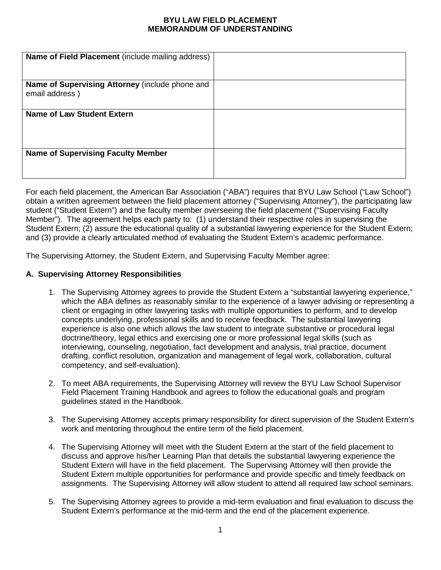## **BYU LAW FIELD PLACEMENT MEMORANDUM OF UNDERSTANDING**

| Name of Field Placement (include mailing address)                 |  |
|-------------------------------------------------------------------|--|
| Name of Supervising Attorney (include phone and<br>email address) |  |
| Name of Law Student Extern                                        |  |
| <b>Name of Supervising Faculty Member</b>                         |  |

For each field placement, the American Bar Association ("ABA") requires that BYU Law School ("Law School") obtain a written agreement between the field placement attorney ("Supervising Attorney"), the participating law student ("Student Extern") and the faculty member overseeing the field placement ("Supervising Faculty Member"). The agreement helps each party to: (1) understand their respective roles in supervising the Student Extern; (2) assure the educational quality of a substantial lawyering experience for the Student Extern; and (3) provide a clearly articulated method of evaluating the Student Extern's academic performance.

The Supervising Attorney, the Student Extern, and Supervising Faculty Member agree:

## **A. Supervising Attorney Responsibilities**

- 1. The Supervising Attorney agrees to provide the Student Extern a "substantial lawyering experience," which the ABA defines as reasonably similar to the experience of a lawyer advising or representing a client or engaging in other lawyering tasks with multiple opportunities to perform, and to develop concepts underlying, professional skills and to receive feedback. The substantial lawyering experience is also one which allows the law student to integrate substantive or procedural legal doctrine/theory, legal ethics and exercising one or more professional legal skills (such as interviewing, counseling, negotiation, fact development and analysis, trial practice, document drafting, conflict resolution, organization and management of legal work, collaboration, cultural competency, and self-evaluation).
- 2. To meet ABA requirements, the Supervising Attorney will review the BYU Law School Supervisor Field Placement Training Handbook and agrees to follow the educational goals and program guidelines stated in the Handbook.
- 3. The Supervising Attorney accepts primary responsibility for direct supervision of the Student Extern's work and mentoring throughout the entire term of the field placement.
- 4. The Supervising Attorney will meet with the Student Extern at the start of the field placement to discuss and approve his/her Learning Plan that details the substantial lawyering experience the Student Extern will have in the field placement. The Supervising Attorney will then provide the Student Extern multiple opportunities for performance and provide specific and timely feedback on assignments. The Supervising Attorney will allow student to attend all required law school seminars.
- 5. The Supervising Attorney agrees to provide a mid-term evaluation and final evaluation to discuss the Student Extern's performance at the mid-term and the end of the placement experience.